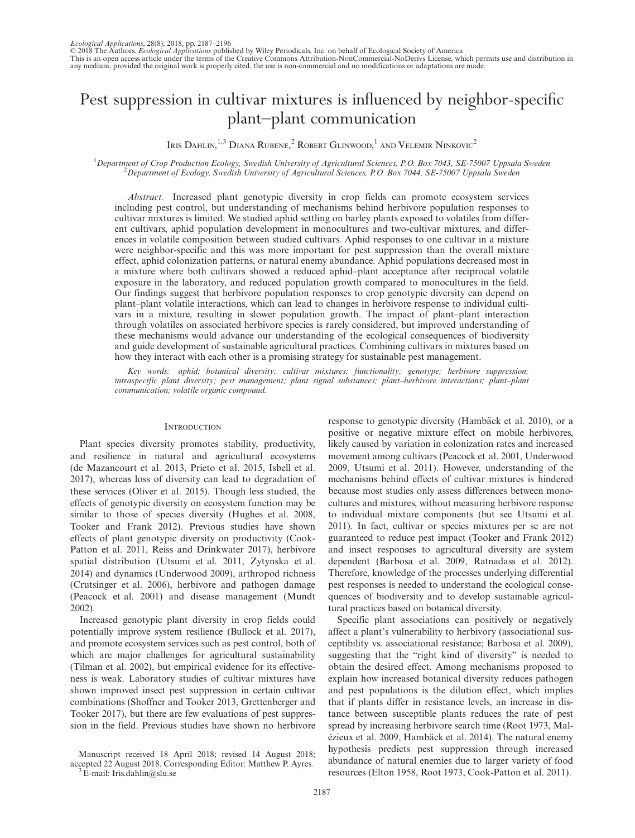© 2018 The Authors. *Ecological Applications* published by Wiley Periodicals, Inc. on behalf of Ecological Society of America<br>This is an open access article under the terms of the Creative Commons Attribution-NonCommercial any medium, provided the original work is properly cited, the use is non-commercial and no modifications or adaptations are made.

# Pest suppression in cultivar mixtures is influenced by neighbor-specific plant–plant communication

Iris Dahlin, $^{1,3}$  Diana Rubene, $^2$  Robert Glinwood, $^1$  and Velemir Ninkovic $^2$ 

<sup>1</sup>Department of Crop Production Ecology, Swedish University of Agricultural Sciences, P.O. Box 7043, SE-75007 Uppsala Sweden <sup>2</sup> Department of Ecology, Swedish University of Agricultural Sciences, P.O. Box 7044, SE-75007  $\Omega^2$ Department of Ecology, Swedish University of Agricultural Sciences, P.O. Box 7044, SE-75007 Uppsala Sweden

Abstract. Increased plant genotypic diversity in crop fields can promote ecosystem services including pest control, but understanding of mechanisms behind herbivore population responses to cultivar mixtures is limited. We studied aphid settling on barley plants exposed to volatiles from different cultivars, aphid population development in monocultures and two-cultivar mixtures, and differences in volatile composition between studied cultivars. Aphid responses to one cultivar in a mixture were neighbor-specific and this was more important for pest suppression than the overall mixture effect, aphid colonization patterns, or natural enemy abundance. Aphid populations decreased most in a mixture where both cultivars showed a reduced aphid–plant acceptance after reciprocal volatile exposure in the laboratory, and reduced population growth compared to monocultures in the field. Our findings suggest that herbivore population responses to crop genotypic diversity can depend on plant–plant volatile interactions, which can lead to changes in herbivore response to individual cultivars in a mixture, resulting in slower population growth. The impact of plant–plant interaction through volatiles on associated herbivore species is rarely considered, but improved understanding of these mechanisms would advance our understanding of the ecological consequences of biodiversity and guide development of sustainable agricultural practices. Combining cultivars in mixtures based on how they interact with each other is a promising strategy for sustainable pest management.

Key words: aphid; botanical diversity; cultivar mixtures; functionality; genotype; herbivore suppression; intraspecific plant diversity; pest management; plant signal substances; plant–herbivore interactions; plant–plant communication; volatile organic compound.

## **INTRODUCTION**

Plant species diversity promotes stability, productivity, and resilience in natural and agricultural ecosystems (de Mazancourt et al. 2013, Prieto et al. 2015, Isbell et al. 2017), whereas loss of diversity can lead to degradation of these services (Oliver et al. 2015). Though less studied, the effects of genotypic diversity on ecosystem function may be similar to those of species diversity (Hughes et al. 2008, Tooker and Frank 2012). Previous studies have shown effects of plant genotypic diversity on productivity (Cook-Patton et al. 2011, Reiss and Drinkwater 2017), herbivore spatial distribution (Utsumi et al. 2011, Zytynska et al. 2014) and dynamics (Underwood 2009), arthropod richness (Crutsinger et al. 2006), herbivore and pathogen damage (Peacock et al. 2001) and disease management (Mundt 2002).

Increased genotypic plant diversity in crop fields could potentially improve system resilience (Bullock et al. 2017), and promote ecosystem services such as pest control, both of which are major challenges for agricultural sustainability (Tilman et al. 2002), but empirical evidence for its effectiveness is weak. Laboratory studies of cultivar mixtures have shown improved insect pest suppression in certain cultivar combinations (Shoffner and Tooker 2013, Grettenberger and Tooker 2017), but there are few evaluations of pest suppression in the field. Previous studies have shown no herbivore

response to genotypic diversity (Hambäck et al. 2010), or a positive or negative mixture effect on mobile herbivores, likely caused by variation in colonization rates and increased movement among cultivars (Peacock et al. 2001, Underwood 2009, Utsumi et al. 2011). However, understanding of the mechanisms behind effects of cultivar mixtures is hindered because most studies only assess differences between monocultures and mixtures, without measuring herbivore response to individual mixture components (but see Utsumi et al. 2011). In fact, cultivar or species mixtures per se are not guaranteed to reduce pest impact (Tooker and Frank 2012) and insect responses to agricultural diversity are system dependent (Barbosa et al. 2009, Ratnadass et al. 2012). Therefore, knowledge of the processes underlying differential pest responses is needed to understand the ecological consequences of biodiversity and to develop sustainable agricultural practices based on botanical diversity.

Specific plant associations can positively or negatively affect a plant's vulnerability to herbivory (associational susceptibility vs. associational resistance; Barbosa et al. 2009), suggesting that the "right kind of diversity" is needed to obtain the desired effect. Among mechanisms proposed to explain how increased botanical diversity reduces pathogen and pest populations is the dilution effect, which implies that if plants differ in resistance levels, an increase in distance between susceptible plants reduces the rate of pest spread by increasing herbivore search time (Root 1973, Mal ézieux et al. 2009, Hambäck et al. 2014). The natural enemy hypothesis predicts pest suppression through increased abundance of natural enemies due to larger variety of food resources (Elton 1958, Root 1973, Cook-Patton et al. 2011).

Manuscript received 18 April 2018; revised 14 August 2018; accepted 22 August 2018. Corresponding Editor: Matthew P. Ayres. 3E-mail: [Iris.dahlin@slu.se](mailto:)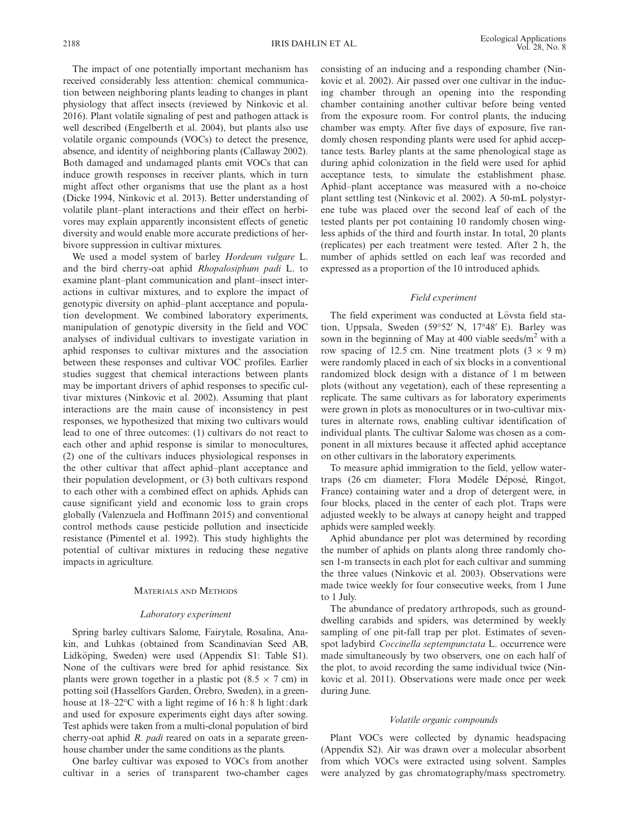The impact of one potentially important mechanism has received considerably less attention: chemical communication between neighboring plants leading to changes in plant physiology that affect insects (reviewed by Ninkovic et al. 2016). Plant volatile signaling of pest and pathogen attack is well described (Engelberth et al. 2004), but plants also use volatile organic compounds (VOCs) to detect the presence, absence, and identity of neighboring plants (Callaway 2002). Both damaged and undamaged plants emit VOCs that can induce growth responses in receiver plants, which in turn might affect other organisms that use the plant as a host (Dicke 1994, Ninkovic et al. 2013). Better understanding of volatile plant–plant interactions and their effect on herbivores may explain apparently inconsistent effects of genetic diversity and would enable more accurate predictions of herbivore suppression in cultivar mixtures.

We used a model system of barley Hordeum vulgare L. and the bird cherry-oat aphid Rhopalosiphum padi L. to examine plant–plant communication and plant–insect interactions in cultivar mixtures, and to explore the impact of genotypic diversity on aphid–plant acceptance and population development. We combined laboratory experiments, manipulation of genotypic diversity in the field and VOC analyses of individual cultivars to investigate variation in aphid responses to cultivar mixtures and the association between these responses and cultivar VOC profiles. Earlier studies suggest that chemical interactions between plants may be important drivers of aphid responses to specific cultivar mixtures (Ninkovic et al. 2002). Assuming that plant interactions are the main cause of inconsistency in pest responses, we hypothesized that mixing two cultivars would lead to one of three outcomes: (1) cultivars do not react to each other and aphid response is similar to monocultures, (2) one of the cultivars induces physiological responses in the other cultivar that affect aphid–plant acceptance and their population development, or (3) both cultivars respond to each other with a combined effect on aphids. Aphids can cause significant yield and economic loss to grain crops globally (Valenzuela and Hoffmann 2015) and conventional control methods cause pesticide pollution and insecticide resistance (Pimentel et al. 1992). This study highlights the potential of cultivar mixtures in reducing these negative impacts in agriculture.

#### MATERIALS AND METHODS

#### Laboratory experiment

Spring barley cultivars Salome, Fairytale, Rosalina, Anakin, and Luhkas (obtained from Scandinavian Seed AB, Lidköping, Sweden) were used (Appendix S1: Table S1). None of the cultivars were bred for aphid resistance. Six plants were grown together in a plastic pot  $(8.5 \times 7 \text{ cm})$  in potting soil (Hasselfors Garden, Örebro, Sweden), in a greenhouse at  $18-22$ °C with a light regime of 16 h: 8 h light: dark and used for exposure experiments eight days after sowing. Test aphids were taken from a multi-clonal population of bird cherry-oat aphid R. *padi* reared on oats in a separate greenhouse chamber under the same conditions as the plants.

One barley cultivar was exposed to VOCs from another cultivar in a series of transparent two-chamber cages

consisting of an inducing and a responding chamber (Ninkovic et al. 2002). Air passed over one cultivar in the inducing chamber through an opening into the responding chamber containing another cultivar before being vented from the exposure room. For control plants, the inducing chamber was empty. After five days of exposure, five randomly chosen responding plants were used for aphid acceptance tests. Barley plants at the same phenological stage as during aphid colonization in the field were used for aphid acceptance tests, to simulate the establishment phase. Aphid–plant acceptance was measured with a no-choice plant settling test (Ninkovic et al. 2002). A 50-mL polystyrene tube was placed over the second leaf of each of the tested plants per pot containing 10 randomly chosen wingless aphids of the third and fourth instar. In total, 20 plants (replicates) per each treatment were tested. After 2 h, the number of aphids settled on each leaf was recorded and expressed as a proportion of the 10 introduced aphids.

## Field experiment

The field experiment was conducted at Lövsta field station, Uppsala, Sweden (59°52′ N, 17°48′ E). Barley was sown in the beginning of May at 400 viable seeds/ $m<sup>2</sup>$  with a row spacing of 12.5 cm. Nine treatment plots  $(3 \times 9 \text{ m})$ were randomly placed in each of six blocks in a conventional randomized block design with a distance of 1 m between plots (without any vegetation), each of these representing a replicate. The same cultivars as for laboratory experiments were grown in plots as monocultures or in two-cultivar mixtures in alternate rows, enabling cultivar identification of individual plants. The cultivar Salome was chosen as a component in all mixtures because it affected aphid acceptance on other cultivars in the laboratory experiments.

To measure aphid immigration to the field, yellow watertraps (26 cm diameter; Flora Modéle Déposé, Ringot, France) containing water and a drop of detergent were, in four blocks, placed in the center of each plot. Traps were adjusted weekly to be always at canopy height and trapped aphids were sampled weekly.

Aphid abundance per plot was determined by recording the number of aphids on plants along three randomly chosen 1-m transects in each plot for each cultivar and summing the three values (Ninkovic et al. 2003). Observations were made twice weekly for four consecutive weeks, from 1 June to 1 July.

The abundance of predatory arthropods, such as grounddwelling carabids and spiders, was determined by weekly sampling of one pit-fall trap per plot. Estimates of sevenspot ladybird Coccinella septempunctata L. occurrence were made simultaneously by two observers, one on each half of the plot, to avoid recording the same individual twice (Ninkovic et al. 2011). Observations were made once per week during June.

#### Volatile organic compounds

Plant VOCs were collected by dynamic headspacing (Appendix S2). Air was drawn over a molecular absorbent from which VOCs were extracted using solvent. Samples were analyzed by gas chromatography/mass spectrometry.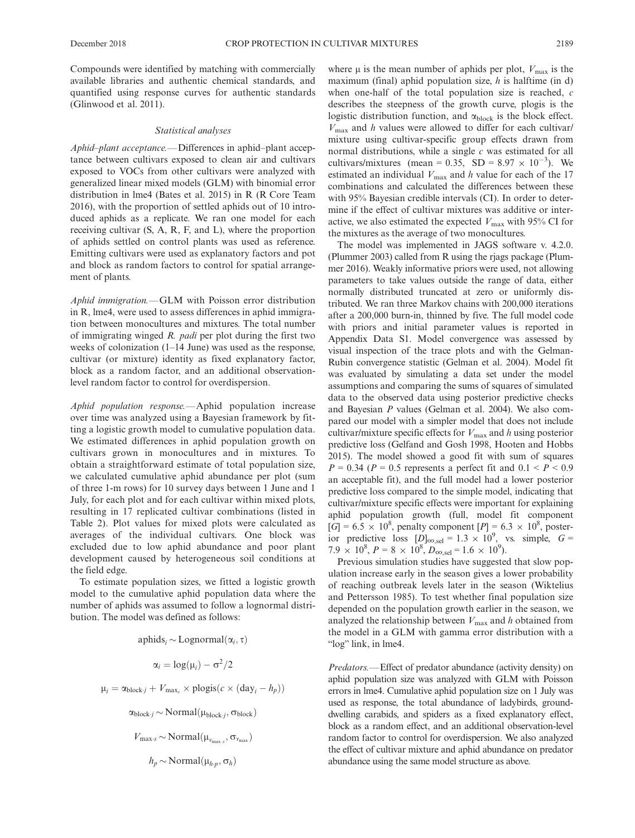Compounds were identified by matching with commercially available libraries and authentic chemical standards, and quantified using response curves for authentic standards (Glinwood et al. 2011).

#### Statistical analyses

Aphid–plant acceptance.—Differences in aphid–plant acceptance between cultivars exposed to clean air and cultivars exposed to VOCs from other cultivars were analyzed with generalized linear mixed models (GLM) with binomial error distribution in lme4 (Bates et al. 2015) in R (R Core Team 2016), with the proportion of settled aphids out of 10 introduced aphids as a replicate. We ran one model for each receiving cultivar (S, A, R, F, and L), where the proportion of aphids settled on control plants was used as reference. Emitting cultivars were used as explanatory factors and pot and block as random factors to control for spatial arrangement of plants.

Aphid immigration.—GLM with Poisson error distribution in R, lme4, were used to assess differences in aphid immigration between monocultures and mixtures. The total number of immigrating winged R. padi per plot during the first two weeks of colonization (1–14 June) was used as the response, cultivar (or mixture) identity as fixed explanatory factor, block as a random factor, and an additional observationlevel random factor to control for overdispersion.

Aphid population response.—Aphid population increase over time was analyzed using a Bayesian framework by fitting a logistic growth model to cumulative population data. We estimated differences in aphid population growth on cultivars grown in monocultures and in mixtures. To obtain a straightforward estimate of total population size, we calculated cumulative aphid abundance per plot (sum of three 1-m rows) for 10 survey days between 1 June and 1 July, for each plot and for each cultivar within mixed plots, resulting in 17 replicated cultivar combinations (listed in Table 2). Plot values for mixed plots were calculated as averages of the individual cultivars. One block was excluded due to low aphid abundance and poor plant development caused by heterogeneous soil conditions at the field edge.

To estimate population sizes, we fitted a logistic growth model to the cumulative aphid population data where the number of aphids was assumed to follow a lognormal distribution. The model was defined as follows:

> aphids<sub>i</sub> ~ Lognormal $(\alpha_i, \tau)$  $\alpha_i = \log(\mu_i) - \sigma^2/2$  $\mu_i = \alpha_{block-i} + V_{max} \times \text{plogis}(c \times (day_i - h_p))$  $\alpha_{\text{block-}j} \sim \text{Normal}(\mu_{\text{block-}j}, \sigma_{\text{block}})$  $V_{\text{max-}s} \sim \text{Normal}(\mu_{v_{\text{max-}s}}, \sigma_{v_{\text{max}}})$  $h_p \sim \text{Normal}(\mu_{h \cdot p}, \sigma_h)$

where  $\mu$  is the mean number of aphids per plot,  $V_{\text{max}}$  is the maximum (final) aphid population size,  $h$  is halftime (in d) when one-half of the total population size is reached,  $c$ describes the steepness of the growth curve, plogis is the logistic distribution function, and  $\alpha_{\text{block}}$  is the block effect.  $V_{\text{max}}$  and h values were allowed to differ for each cultivar/ mixture using cultivar-specific group effects drawn from normal distributions, while a single  $c$  was estimated for all cultivars/mixtures (mean = 0.35, SD =  $8.97 \times 10^{-3}$ ). We estimated an individual  $V_{\text{max}}$  and h value for each of the 17 combinations and calculated the differences between these with 95% Bayesian credible intervals (CI). In order to determine if the effect of cultivar mixtures was additive or interactive, we also estimated the expected  $V_{\text{max}}$  with 95% CI for the mixtures as the average of two monocultures.

The model was implemented in JAGS software v. 4.2.0. (Plummer 2003) called from R using the rjags package (Plummer 2016). Weakly informative priors were used, not allowing parameters to take values outside the range of data, either normally distributed truncated at zero or uniformly distributed. We ran three Markov chains with 200,000 iterations after a 200,000 burn-in, thinned by five. The full model code with priors and initial parameter values is reported in Appendix Data S1. Model convergence was assessed by visual inspection of the trace plots and with the Gelman-Rubin convergence statistic (Gelman et al. 2004). Model fit was evaluated by simulating a data set under the model assumptions and comparing the sums of squares of simulated data to the observed data using posterior predictive checks and Bayesian P values (Gelman et al. 2004). We also compared our model with a simpler model that does not include cultivar/mixture specific effects for  $V_{\text{max}}$  and h using posterior predictive loss (Gelfand and Gosh 1998, Hooten and Hobbs 2015). The model showed a good fit with sum of squares  $P = 0.34$  ( $P = 0.5$  represents a perfect fit and  $0.1 < P < 0.9$ an acceptable fit), and the full model had a lower posterior predictive loss compared to the simple model, indicating that cultivar/mixture specific effects were important for explaining aphid population growth (full, model fit component  $[G] = 6.5 \times 10^8$ , penalty component  $[P] = 6.3 \times 10^8$ , posterior predictive loss  $[D]_{\infty, \text{sel}} = 1.3 \times 10^9$ , vs. simple,  $G =$  $7.9 \times 10^8$ ,  $P = 8 \times 10^8$ ,  $D_{\infty, \text{sel}} = 1.6 \times 10^9$ ).

Previous simulation studies have suggested that slow population increase early in the season gives a lower probability of reaching outbreak levels later in the season (Wiktelius and Pettersson 1985). To test whether final population size depended on the population growth earlier in the season, we analyzed the relationship between  $V_{\text{max}}$  and h obtained from the model in a GLM with gamma error distribution with a "log" link, in lme4.

Predators.—Effect of predator abundance (activity density) on aphid population size was analyzed with GLM with Poisson errors in lme4. Cumulative aphid population size on 1 July was used as response, the total abundance of ladybirds, grounddwelling carabids, and spiders as a fixed explanatory effect, block as a random effect, and an additional observation-level random factor to control for overdispersion. We also analyzed the effect of cultivar mixture and aphid abundance on predator abundance using the same model structure as above.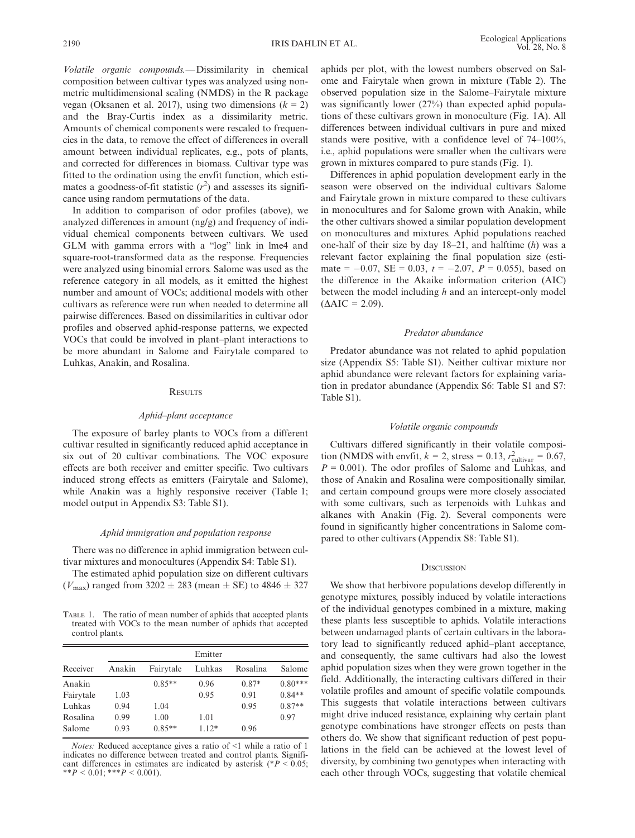Volatile organic compounds.—Dissimilarity in chemical composition between cultivar types was analyzed using nonmetric multidimensional scaling (NMDS) in the R package vegan (Oksanen et al. 2017), using two dimensions  $(k = 2)$ and the Bray-Curtis index as a dissimilarity metric. Amounts of chemical components were rescaled to frequencies in the data, to remove the effect of differences in overall amount between individual replicates, e.g., pots of plants, and corrected for differences in biomass. Cultivar type was fitted to the ordination using the envfit function, which estimates a goodness-of-fit statistic  $(r^2)$  and assesses its significance using random permutations of the data.

In addition to comparison of odor profiles (above), we analyzed differences in amount (ng/g) and frequency of individual chemical components between cultivars. We used GLM with gamma errors with a "log" link in lme4 and square-root-transformed data as the response. Frequencies were analyzed using binomial errors. Salome was used as the reference category in all models, as it emitted the highest number and amount of VOCs; additional models with other cultivars as reference were run when needed to determine all pairwise differences. Based on dissimilarities in cultivar odor profiles and observed aphid-response patterns, we expected VOCs that could be involved in plant–plant interactions to be more abundant in Salome and Fairytale compared to Luhkas, Anakin, and Rosalina.

## **RESULTS**

#### Aphid–plant acceptance

The exposure of barley plants to VOCs from a different cultivar resulted in significantly reduced aphid acceptance in six out of 20 cultivar combinations. The VOC exposure effects are both receiver and emitter specific. Two cultivars induced strong effects as emitters (Fairytale and Salome), while Anakin was a highly responsive receiver (Table 1; model output in Appendix S3: Table S1).

## Aphid immigration and population response

There was no difference in aphid immigration between cultivar mixtures and monocultures (Appendix S4: Table S1).

The estimated aphid population size on different cultivars  $(V_{\text{max}})$  ranged from 3202  $\pm$  283 (mean  $\pm$  SE) to 4846  $\pm$  327

TABLE 1. The ratio of mean number of aphids that accepted plants treated with VOCs to the mean number of aphids that accepted control plants.

| Receiver  | Emitter |           |         |          |           |  |  |  |  |
|-----------|---------|-----------|---------|----------|-----------|--|--|--|--|
|           | Anakin  | Fairytale | Luhkas  | Rosalina | Salome    |  |  |  |  |
| Anakin    |         | $0.85**$  | 0.96    | $0.87*$  | $0.80***$ |  |  |  |  |
| Fairytale | 1.03    |           | 0.95    | 0.91     | $0.84**$  |  |  |  |  |
| Luhkas    | 0.94    | 1.04      |         | 0.95     | $0.87**$  |  |  |  |  |
| Rosalina  | 0.99    | 1.00      | 1.01    |          | 0.97      |  |  |  |  |
| Salome    | 0.93    | $0.85**$  | $1.12*$ | 0.96     |           |  |  |  |  |

Notes: Reduced acceptance gives a ratio of <1 while a ratio of 1 indicates no difference between treated and control plants. Significant differences in estimates are indicated by asterisk ( $P < 0.05$ ; \*\* $P < 0.01$ ; \*\*\* $P < 0.001$ ).

aphids per plot, with the lowest numbers observed on Salome and Fairytale when grown in mixture (Table 2). The observed population size in the Salome–Fairytale mixture was significantly lower (27%) than expected aphid populations of these cultivars grown in monoculture (Fig. 1A). All differences between individual cultivars in pure and mixed stands were positive, with a confidence level of 74–100%, i.e., aphid populations were smaller when the cultivars were grown in mixtures compared to pure stands (Fig. 1).

Differences in aphid population development early in the season were observed on the individual cultivars Salome and Fairytale grown in mixture compared to these cultivars in monocultures and for Salome grown with Anakin, while the other cultivars showed a similar population development on monocultures and mixtures. Aphid populations reached one-half of their size by day  $18-21$ , and halftime (h) was a relevant factor explaining the final population size (estimate =  $-0.07$ , SE = 0.03,  $t = -2.07$ ,  $P = 0.055$ ), based on the difference in the Akaike information criterion (AIC) between the model including  $h$  and an intercept-only model  $(AAIC = 2.09)$ .

# Predator abundance

Predator abundance was not related to aphid population size (Appendix S5: Table S1). Neither cultivar mixture nor aphid abundance were relevant factors for explaining variation in predator abundance (Appendix S6: Table S1 and S7: Table S1).

#### Volatile organic compounds

Cultivars differed significantly in their volatile composition (NMDS with envfit,  $k = 2$ , stress = 0.13,  $r_{\text{cultivar}}^2 = 0.67$ ,  $P = 0.001$ ). The odor profiles of Salome and Luhkas, and those of Anakin and Rosalina were compositionally similar, and certain compound groups were more closely associated with some cultivars, such as terpenoids with Luhkas and alkanes with Anakin (Fig. 2). Several components were found in significantly higher concentrations in Salome compared to other cultivars (Appendix S8: Table S1).

#### **DISCUSSION**

We show that herbivore populations develop differently in genotype mixtures, possibly induced by volatile interactions of the individual genotypes combined in a mixture, making these plants less susceptible to aphids. Volatile interactions between undamaged plants of certain cultivars in the laboratory lead to significantly reduced aphid–plant acceptance, and consequently, the same cultivars had also the lowest aphid population sizes when they were grown together in the field. Additionally, the interacting cultivars differed in their volatile profiles and amount of specific volatile compounds. This suggests that volatile interactions between cultivars might drive induced resistance, explaining why certain plant genotype combinations have stronger effects on pests than others do. We show that significant reduction of pest populations in the field can be achieved at the lowest level of diversity, by combining two genotypes when interacting with each other through VOCs, suggesting that volatile chemical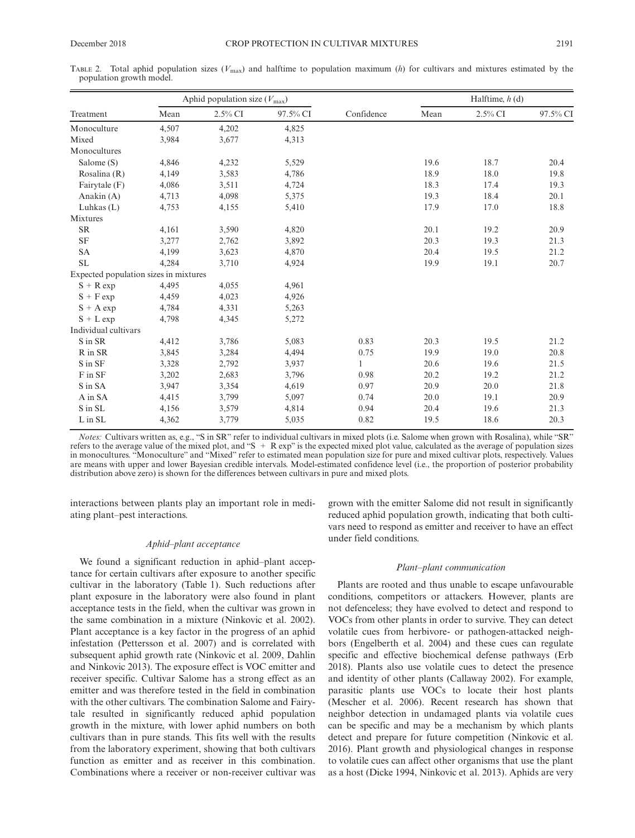TABLE 2. Total aphid population sizes  $(V_{\text{max}})$  and halftime to population maximum (h) for cultivars and mixtures estimated by the population growth model.

|                                       | Aphid population size $(V_{\text{max}})$ |            |          | Halftime, $h$ (d) |      |            |          |
|---------------------------------------|------------------------------------------|------------|----------|-------------------|------|------------|----------|
| Treatment                             | Mean                                     | $2.5\%$ CI | 97.5% CI | Confidence        | Mean | $2.5\%$ CI | 97.5% CI |
| Monoculture                           | 4,507                                    | 4,202      | 4,825    |                   |      |            |          |
| Mixed                                 | 3,984                                    | 3,677      | 4,313    |                   |      |            |          |
| Monocultures                          |                                          |            |          |                   |      |            |          |
| Salome (S)                            | 4,846                                    | 4,232      | 5,529    |                   | 19.6 | 18.7       | 20.4     |
| Rosalina (R)                          | 4,149                                    | 3,583      | 4,786    |                   | 18.9 | 18.0       | 19.8     |
| Fairytale (F)                         | 4,086                                    | 3,511      | 4,724    |                   | 18.3 | 17.4       | 19.3     |
| Anakin (A)                            | 4,713                                    | 4,098      | 5,375    |                   | 19.3 | 18.4       | 20.1     |
| Luhkas $(L)$                          | 4,753                                    | 4,155      | 5,410    |                   | 17.9 | 17.0       | 18.8     |
| Mixtures                              |                                          |            |          |                   |      |            |          |
| <b>SR</b>                             | 4,161                                    | 3,590      | 4,820    |                   | 20.1 | 19.2       | 20.9     |
| <b>SF</b>                             | 3,277                                    | 2,762      | 3,892    |                   | 20.3 | 19.3       | 21.3     |
| <b>SA</b>                             | 4,199                                    | 3,623      | 4,870    |                   | 20.4 | 19.5       | 21.2     |
| <b>SL</b>                             | 4,284                                    | 3,710      | 4,924    |                   | 19.9 | 19.1       | 20.7     |
| Expected population sizes in mixtures |                                          |            |          |                   |      |            |          |
| $S + R$ exp                           | 4,495                                    | 4,055      | 4,961    |                   |      |            |          |
| $S + F exp$                           | 4,459                                    | 4,023      | 4,926    |                   |      |            |          |
| $S + A exp$                           | 4,784                                    | 4,331      | 5,263    |                   |      |            |          |
| $S + L$ exp                           | 4,798                                    | 4,345      | 5,272    |                   |      |            |          |
| Individual cultivars                  |                                          |            |          |                   |      |            |          |
| S in SR                               | 4,412                                    | 3,786      | 5,083    | 0.83              | 20.3 | 19.5       | 21.2     |
| R in SR                               | 3,845                                    | 3,284      | 4,494    | 0.75              | 19.9 | 19.0       | 20.8     |
| S in SF                               | 3,328                                    | 2,792      | 3,937    | $\mathbf{1}$      | 20.6 | 19.6       | 21.5     |
| F in SF                               | 3,202                                    | 2,683      | 3,796    | 0.98              | 20.2 | 19.2       | 21.2     |
| S in SA                               | 3,947                                    | 3,354      | 4,619    | 0.97              | 20.9 | 20.0       | 21.8     |
| A in SA                               | 4,415                                    | 3,799      | 5,097    | 0.74              | 20.0 | 19.1       | 20.9     |
| S in SL                               | 4,156                                    | 3,579      | 4,814    | 0.94              | 20.4 | 19.6       | 21.3     |
| L in SL                               | 4,362                                    | 3,779      | 5,035    | 0.82              | 19.5 | 18.6       | 20.3     |

Notes: Cultivars written as, e.g., "S in SR" refer to individual cultivars in mixed plots (i.e. Salome when grown with Rosalina), while "SR" refers to the average value of the mixed plot, and "S + R exp" is the expected mixed plot value, calculated as the average of population sizes in monocultures. "Monoculture" and "Mixed" refer to estimated mean population size for pure and mixed cultivar plots, respectively. Values are means with upper and lower Bayesian credible intervals. Model-estimated confidence level (i.e., the proportion of posterior probability distribution above zero) is shown for the differences between cultivars in pure and mixed plots.

interactions between plants play an important role in mediating plant–pest interactions.

## Aphid–plant acceptance

We found a significant reduction in aphid–plant acceptance for certain cultivars after exposure to another specific cultivar in the laboratory (Table 1). Such reductions after plant exposure in the laboratory were also found in plant acceptance tests in the field, when the cultivar was grown in the same combination in a mixture (Ninkovic et al. 2002). Plant acceptance is a key factor in the progress of an aphid infestation (Pettersson et al. 2007) and is correlated with subsequent aphid growth rate (Ninkovic et al. 2009, Dahlin and Ninkovic 2013). The exposure effect is VOC emitter and receiver specific. Cultivar Salome has a strong effect as an emitter and was therefore tested in the field in combination with the other cultivars. The combination Salome and Fairytale resulted in significantly reduced aphid population growth in the mixture, with lower aphid numbers on both cultivars than in pure stands. This fits well with the results from the laboratory experiment, showing that both cultivars function as emitter and as receiver in this combination. Combinations where a receiver or non-receiver cultivar was grown with the emitter Salome did not result in significantly reduced aphid population growth, indicating that both cultivars need to respond as emitter and receiver to have an effect under field conditions.

#### Plant–plant communication

Plants are rooted and thus unable to escape unfavourable conditions, competitors or attackers. However, plants are not defenceless; they have evolved to detect and respond to VOCs from other plants in order to survive. They can detect volatile cues from herbivore- or pathogen-attacked neighbors (Engelberth et al. 2004) and these cues can regulate specific and effective biochemical defense pathways (Erb 2018). Plants also use volatile cues to detect the presence and identity of other plants (Callaway 2002). For example, parasitic plants use VOCs to locate their host plants (Mescher et al. 2006). Recent research has shown that neighbor detection in undamaged plants via volatile cues can be specific and may be a mechanism by which plants detect and prepare for future competition (Ninkovic et al. 2016). Plant growth and physiological changes in response to volatile cues can affect other organisms that use the plant as a host (Dicke 1994, Ninkovic et al. 2013). Aphids are very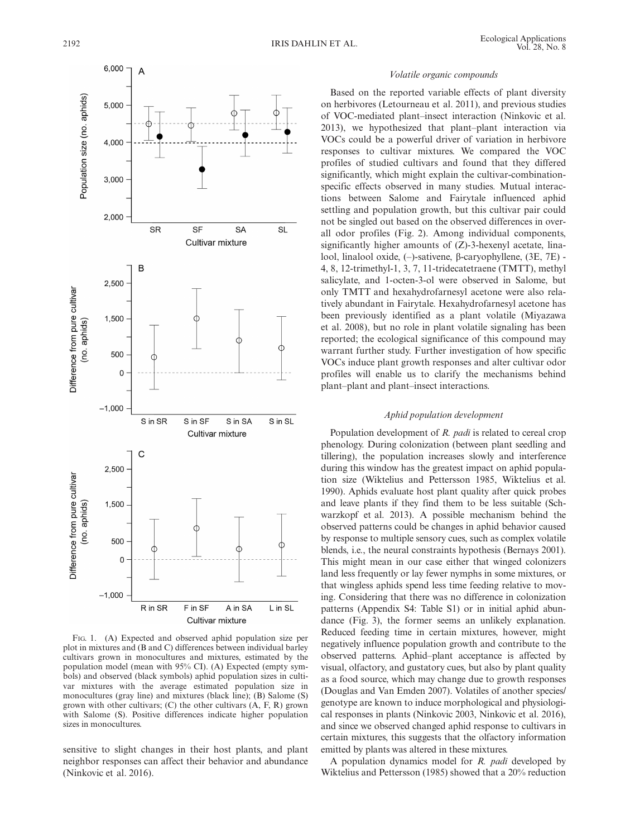

FIG. 1. (A) Expected and observed aphid population size per plot in mixtures and (B and C) differences between individual barley cultivars grown in monocultures and mixtures, estimated by the population model (mean with 95% CI). (A) Expected (empty symbols) and observed (black symbols) aphid population sizes in cultivar mixtures with the average estimated population size in monocultures (gray line) and mixtures (black line); (B) Salome (S) grown with other cultivars;  $(C)$  the other cultivars  $(A, F, R)$  grown with Salome (S). Positive differences indicate higher population sizes in monocultures.

sensitive to slight changes in their host plants, and plant neighbor responses can affect their behavior and abundance (Ninkovic et al. 2016).

## Volatile organic compounds

Based on the reported variable effects of plant diversity on herbivores (Letourneau et al. 2011), and previous studies of VOC-mediated plant–insect interaction (Ninkovic et al. 2013), we hypothesized that plant–plant interaction via VOCs could be a powerful driver of variation in herbivore responses to cultivar mixtures. We compared the VOC profiles of studied cultivars and found that they differed significantly, which might explain the cultivar-combinationspecific effects observed in many studies. Mutual interactions between Salome and Fairytale influenced aphid settling and population growth, but this cultivar pair could not be singled out based on the observed differences in overall odor profiles (Fig. 2). Among individual components, significantly higher amounts of (Z)-3-hexenyl acetate, linalool, linalool oxide, (-)-sativene, β-caryophyllene, (3E, 7E) -4, 8, 12-trimethyl-1, 3, 7, 11-tridecatetraene (TMTT), methyl salicylate, and 1-octen-3-ol were observed in Salome, but only TMTT and hexahydrofarnesyl acetone were also relatively abundant in Fairytale. Hexahydrofarnesyl acetone has been previously identified as a plant volatile (Miyazawa et al. 2008), but no role in plant volatile signaling has been reported; the ecological significance of this compound may warrant further study. Further investigation of how specific VOCs induce plant growth responses and alter cultivar odor profiles will enable us to clarify the mechanisms behind plant–plant and plant–insect interactions.

#### Aphid population development

Population development of R. *padi* is related to cereal crop phenology. During colonization (between plant seedling and tillering), the population increases slowly and interference during this window has the greatest impact on aphid population size (Wiktelius and Pettersson 1985, Wiktelius et al. 1990). Aphids evaluate host plant quality after quick probes and leave plants if they find them to be less suitable (Schwarzkopf et al. 2013). A possible mechanism behind the observed patterns could be changes in aphid behavior caused by response to multiple sensory cues, such as complex volatile blends, i.e., the neural constraints hypothesis (Bernays 2001). This might mean in our case either that winged colonizers land less frequently or lay fewer nymphs in some mixtures, or that wingless aphids spend less time feeding relative to moving. Considering that there was no difference in colonization patterns (Appendix S4: Table S1) or in initial aphid abundance (Fig. 3), the former seems an unlikely explanation. Reduced feeding time in certain mixtures, however, might negatively influence population growth and contribute to the observed patterns. Aphid–plant acceptance is affected by visual, olfactory, and gustatory cues, but also by plant quality as a food source, which may change due to growth responses (Douglas and Van Emden 2007). Volatiles of another species/ genotype are known to induce morphological and physiological responses in plants (Ninkovic 2003, Ninkovic et al. 2016), and since we observed changed aphid response to cultivars in certain mixtures, this suggests that the olfactory information emitted by plants was altered in these mixtures.

A population dynamics model for R. padi developed by Wiktelius and Pettersson (1985) showed that a 20% reduction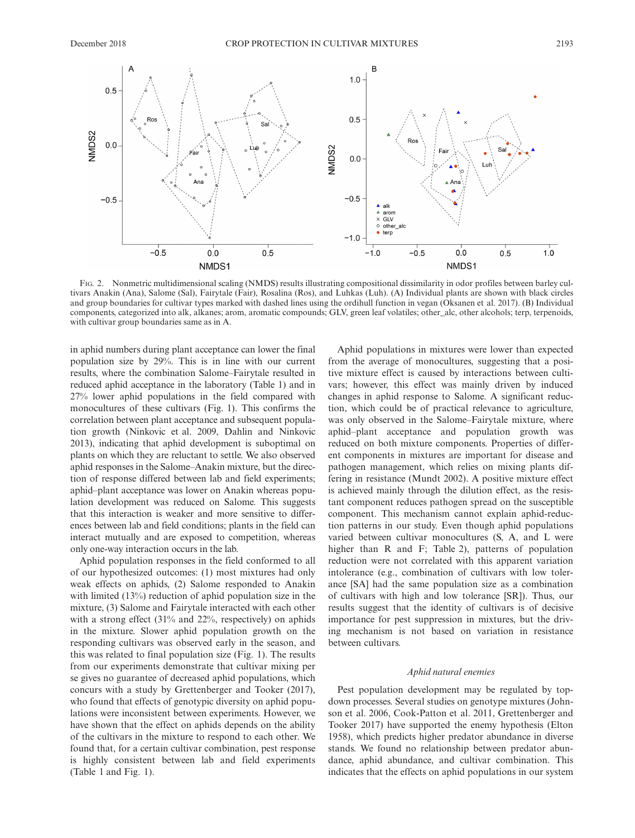

FIG. 2. Nonmetric multidimensional scaling (NMDS) results illustrating compositional dissimilarity in odor profiles between barley cultivars Anakin (Ana), Salome (Sal), Fairytale (Fair), Rosalina (Ros), and Luhkas (Luh). (A) Individual plants are shown with black circles and group boundaries for cultivar types marked with dashed lines using the ordihull function in vegan (Oksanen et al. 2017). (B) Individual components, categorized into alk, alkanes; arom, aromatic compounds; GLV, green leaf volatiles; other\_alc, other alcohols; terp, terpenoids, with cultivar group boundaries same as in A.

in aphid numbers during plant acceptance can lower the final population size by 29%. This is in line with our current results, where the combination Salome–Fairytale resulted in reduced aphid acceptance in the laboratory (Table 1) and in 27% lower aphid populations in the field compared with monocultures of these cultivars (Fig. 1). This confirms the correlation between plant acceptance and subsequent population growth (Ninkovic et al. 2009, Dahlin and Ninkovic 2013), indicating that aphid development is suboptimal on plants on which they are reluctant to settle. We also observed aphid responses in the Salome–Anakin mixture, but the direction of response differed between lab and field experiments; aphid–plant acceptance was lower on Anakin whereas population development was reduced on Salome. This suggests that this interaction is weaker and more sensitive to differences between lab and field conditions; plants in the field can interact mutually and are exposed to competition, whereas only one-way interaction occurs in the lab.

Aphid population responses in the field conformed to all of our hypothesized outcomes: (1) most mixtures had only weak effects on aphids, (2) Salome responded to Anakin with limited (13%) reduction of aphid population size in the mixture, (3) Salome and Fairytale interacted with each other with a strong effect (31% and 22%, respectively) on aphids in the mixture. Slower aphid population growth on the responding cultivars was observed early in the season, and this was related to final population size (Fig. 1). The results from our experiments demonstrate that cultivar mixing per se gives no guarantee of decreased aphid populations, which concurs with a study by Grettenberger and Tooker (2017), who found that effects of genotypic diversity on aphid populations were inconsistent between experiments. However, we have shown that the effect on aphids depends on the ability of the cultivars in the mixture to respond to each other. We found that, for a certain cultivar combination, pest response is highly consistent between lab and field experiments (Table 1 and Fig. 1).

Aphid populations in mixtures were lower than expected from the average of monocultures, suggesting that a positive mixture effect is caused by interactions between cultivars; however, this effect was mainly driven by induced changes in aphid response to Salome. A significant reduction, which could be of practical relevance to agriculture, was only observed in the Salome–Fairytale mixture, where aphid–plant acceptance and population growth was reduced on both mixture components. Properties of different components in mixtures are important for disease and pathogen management, which relies on mixing plants differing in resistance (Mundt 2002). A positive mixture effect is achieved mainly through the dilution effect, as the resistant component reduces pathogen spread on the susceptible component. This mechanism cannot explain aphid-reduction patterns in our study. Even though aphid populations varied between cultivar monocultures (S, A, and L were higher than R and F; Table 2), patterns of population reduction were not correlated with this apparent variation intolerance (e.g., combination of cultivars with low tolerance [SA] had the same population size as a combination of cultivars with high and low tolerance [SR]). Thus, our results suggest that the identity of cultivars is of decisive importance for pest suppression in mixtures, but the driving mechanism is not based on variation in resistance between cultivars.

## Aphid natural enemies

Pest population development may be regulated by topdown processes. Several studies on genotype mixtures (Johnson et al. 2006, Cook-Patton et al. 2011, Grettenberger and Tooker 2017) have supported the enemy hypothesis (Elton 1958), which predicts higher predator abundance in diverse stands. We found no relationship between predator abundance, aphid abundance, and cultivar combination. This indicates that the effects on aphid populations in our system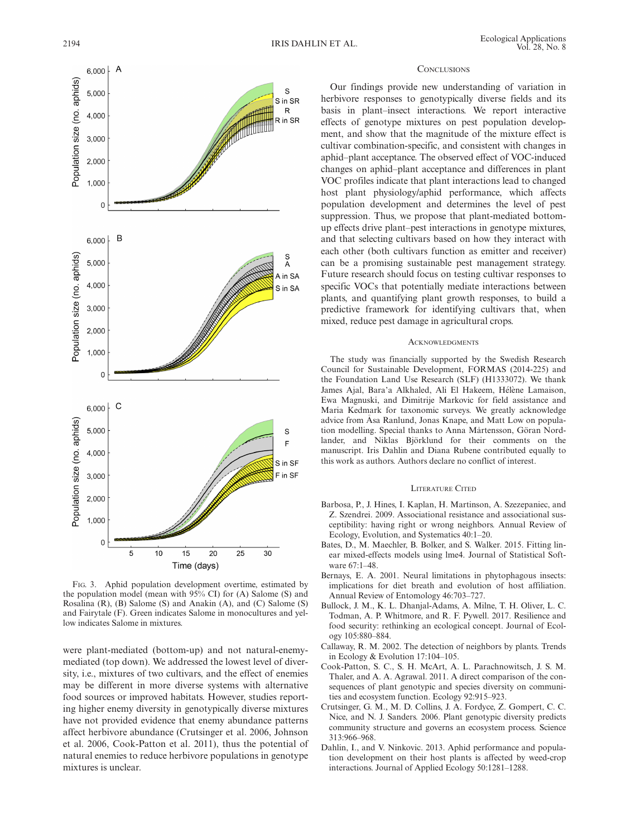

FIG. 3. Aphid population development overtime, estimated by the population model (mean with 95% CI) for (A) Salome (S) and Rosalina (R), (B) Salome (S) and Anakin (A), and (C) Salome (S) and Fairytale (F). Green indicates Salome in monocultures and yellow indicates Salome in mixtures.

were plant-mediated (bottom-up) and not natural-enemymediated (top down). We addressed the lowest level of diversity, i.e., mixtures of two cultivars, and the effect of enemies may be different in more diverse systems with alternative food sources or improved habitats. However, studies reporting higher enemy diversity in genotypically diverse mixtures have not provided evidence that enemy abundance patterns affect herbivore abundance (Crutsinger et al. 2006, Johnson et al. 2006, Cook-Patton et al. 2011), thus the potential of natural enemies to reduce herbivore populations in genotype mixtures is unclear.

#### **CONCLUSIONS**

Our findings provide new understanding of variation in herbivore responses to genotypically diverse fields and its basis in plant–insect interactions. We report interactive effects of genotype mixtures on pest population development, and show that the magnitude of the mixture effect is cultivar combination-specific, and consistent with changes in aphid–plant acceptance. The observed effect of VOC-induced changes on aphid–plant acceptance and differences in plant VOC profiles indicate that plant interactions lead to changed host plant physiology/aphid performance, which affects population development and determines the level of pest suppression. Thus, we propose that plant-mediated bottomup effects drive plant–pest interactions in genotype mixtures, and that selecting cultivars based on how they interact with each other (both cultivars function as emitter and receiver) can be a promising sustainable pest management strategy. Future research should focus on testing cultivar responses to specific VOCs that potentially mediate interactions between plants, and quantifying plant growth responses, to build a predictive framework for identifying cultivars that, when mixed, reduce pest damage in agricultural crops.

#### **ACKNOWLEDGMENTS**

The study was financially supported by the Swedish Research Council for Sustainable Development, FORMAS (2014-225) and the Foundation Land Use Research (SLF) (H1333072). We thank James Ajal, Bara'a Alkhaled, Ali El Hakeem, Hélène Lamaison, Ewa Magnuski, and Dimitrije Markovic for field assistance and Maria Kedmark for taxonomic surveys. We greatly acknowledge advice from Asa Ranlund, Jonas Knape, and Matt Low on popula tion modelling. Special thanks to Anna Mårtensson, Göran Nordlander, and Niklas Björklund for their comments on the manuscript. Iris Dahlin and Diana Rubene contributed equally to this work as authors. Authors declare no conflict of interest.

## LITERATURE CITED

- Barbosa, P., J. Hines, I. Kaplan, H. Martinson, A. Szezepaniec, and Z. Szendrei. 2009. Associational resistance and associational susceptibility: having right or wrong neighbors. Annual Review of Ecology, Evolution, and Systematics 40:1–20.
- Bates, D., M. Maechler, B. Bolker, and S. Walker. 2015. Fitting linear mixed-effects models using lme4. Journal of Statistical Software 67:1–48.
- Bernays, E. A. 2001. Neural limitations in phytophagous insects: implications for diet breath and evolution of host affiliation. Annual Review of Entomology 46:703–727.
- Bullock, J. M., K. L. Dhanjal-Adams, A. Milne, T. H. Oliver, L. C. Todman, A. P. Whitmore, and R. F. Pywell. 2017. Resilience and food security: rethinking an ecological concept. Journal of Ecology 105:880–884.
- Callaway, R. M. 2002. The detection of neighbors by plants. Trends in Ecology & Evolution 17:104–105.
- Cook-Patton, S. C., S. H. McArt, A. L. Parachnowitsch, J. S. M. Thaler, and A. A. Agrawal. 2011. A direct comparison of the consequences of plant genotypic and species diversity on communities and ecosystem function. Ecology 92:915–923.
- Crutsinger, G. M., M. D. Collins, J. A. Fordyce, Z. Gompert, C. C. Nice, and N. J. Sanders. 2006. Plant genotypic diversity predicts community structure and governs an ecosystem process. Science 313:966–968.
- Dahlin, I., and V. Ninkovic. 2013. Aphid performance and population development on their host plants is affected by weed-crop interactions. Journal of Applied Ecology 50:1281–1288.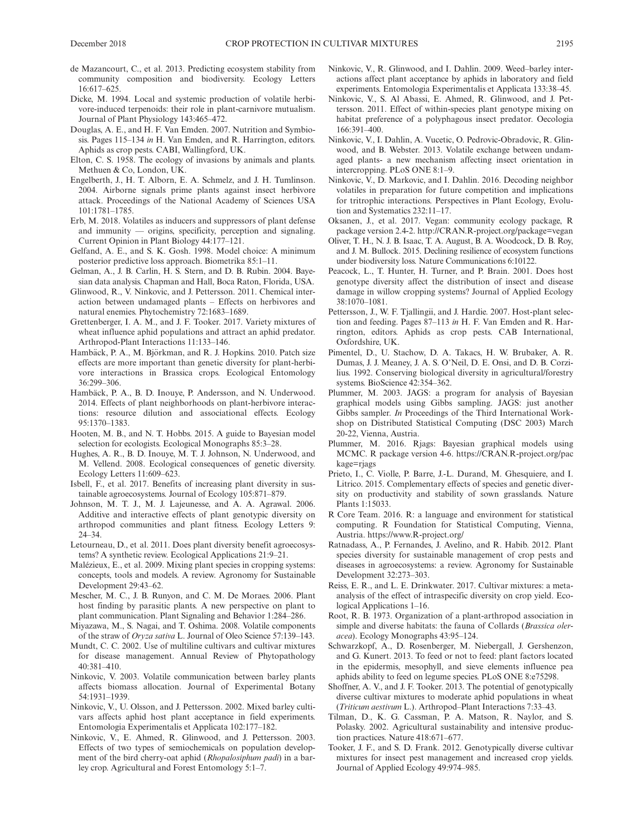- de Mazancourt, C., et al. 2013. Predicting ecosystem stability from community composition and biodiversity. Ecology Letters 16:617–625.
- Dicke, M. 1994. Local and systemic production of volatile herbivore-induced terpenoids: their role in plant-carnivore mutualism. Journal of Plant Physiology 143:465–472.
- Douglas, A. E., and H. F. Van Emden. 2007. Nutrition and Symbiosis. Pages 115–134 in H. Van Emden, and R. Harrington, editors. Aphids as crop pests. CABI, Wallingford, UK.
- Elton, C. S. 1958. The ecology of invasions by animals and plants. Methuen & Co, London, UK.
- Engelberth, J., H. T. Alborn, E. A. Schmelz, and J. H. Tumlinson. 2004. Airborne signals prime plants against insect herbivore attack. Proceedings of the National Academy of Sciences USA 101:1781–1785.
- Erb, M. 2018. Volatiles as inducers and suppressors of plant defense and immunity — origins, specificity, perception and signaling. Current Opinion in Plant Biology 44:177–121.
- Gelfand, A. E., and S. K. Gosh. 1998. Model choice: A minimum posterior predictive loss approach. Biometrika 85:1–11.
- Gelman, A., J. B. Carlin, H. S. Stern, and D. B. Rubin. 2004. Bayesian data analysis. Chapman and Hall, Boca Raton, Florida, USA.
- Glinwood, R., V. Ninkovic, and J. Pettersson. 2011. Chemical interaction between undamaged plants – Effects on herbivores and natural enemies. Phytochemistry 72:1683–1689.
- Grettenberger, I. A. M., and J. F. Tooker. 2017. Variety mixtures of wheat influence aphid populations and attract an aphid predator. Arthropod-Plant Interactions 11:133–146.
- Hambäck, P. A., M. Björkman, and R. J. Hopkins. 2010. Patch size effects are more important than genetic diversity for plant-herbivore interactions in Brassica crops. Ecological Entomology 36:299–306.
- Hambäck, P. A., B. D. Inouye, P. Andersson, and N. Underwood. 2014. Effects of plant neighborhoods on plant-herbivore interactions: resource dilution and associational effects. Ecology 95:1370–1383.
- Hooten, M. B., and N. T. Hobbs. 2015. A guide to Bayesian model selection for ecologists. Ecological Monographs 85:3–28.
- Hughes, A. R., B. D. Inouye, M. T. J. Johnson, N. Underwood, and M. Vellend. 2008. Ecological consequences of genetic diversity. Ecology Letters 11:609–623.
- Isbell, F., et al. 2017. Benefits of increasing plant diversity in sustainable agroecosystems. Journal of Ecology 105:871–879.
- Johnson, M. T. J., M. J. Lajeunesse, and A. A. Agrawal. 2006. Additive and interactive effects of plant genotypic diversity on arthropod communities and plant fitness. Ecology Letters 9: 24–34.
- Letourneau, D., et al. 2011. Does plant diversity benefit agroecosystems? A synthetic review. Ecological Applications 21:9–21.
- Malézieux, E., et al. 2009. Mixing plant species in cropping systems: concepts, tools and models. A review. Agronomy for Sustainable Development 29:43–62.
- Mescher, M. C., J. B. Runyon, and C. M. De Moraes. 2006. Plant host finding by parasitic plants. A new perspective on plant to plant communication. Plant Signaling and Behavior 1:284–286.
- Miyazawa, M., S. Nagai, and T. Oshima. 2008. Volatile components of the straw of Oryza sativa L. Journal of Oleo Science 57:139–143.
- Mundt, C. C. 2002. Use of multiline cultivars and cultivar mixtures for disease management. Annual Review of Phytopathology 40:381–410.
- Ninkovic, V. 2003. Volatile communication between barley plants affects biomass allocation. Journal of Experimental Botany 54:1931–1939.
- Ninkovic, V., U. Olsson, and J. Pettersson. 2002. Mixed barley cultivars affects aphid host plant acceptance in field experiments. Entomologia Experimentalis et Applicata 102:177–182.
- Ninkovic, V., E. Ahmed, R. Glinwood, and J. Pettersson. 2003. Effects of two types of semiochemicals on population development of the bird cherry-oat aphid (Rhopalosiphum padi) in a barley crop. Agricultural and Forest Entomology 5:1–7.
- Ninkovic, V., R. Glinwood, and I. Dahlin. 2009. Weed–barley interactions affect plant acceptance by aphids in laboratory and field experiments. Entomologia Experimentalis et Applicata 133:38–45.
- Ninkovic, V., S. Al Abassi, E. Ahmed, R. Glinwood, and J. Pettersson. 2011. Effect of within-species plant genotype mixing on habitat preference of a polyphagous insect predator. Oecologia 166:391–400.
- Ninkovic, V., I. Dahlin, A. Vucetic, O. Pedrovic-Obradovic, R. Glinwood, and B. Webster. 2013. Volatile exchange between undamaged plants- a new mechanism affecting insect orientation in intercropping. PLoS ONE 8:1–9.
- Ninkovic, V., D. Markovic, and I. Dahlin. 2016. Decoding neighbor volatiles in preparation for future competition and implications for tritrophic interactions. Perspectives in Plant Ecology, Evolution and Systematics 232:11–17.
- Oksanen, J., et al. 2017. Vegan: community ecology package, R package version 2.4-2.<http://CRAN.R-project.org/package=vegan>
- Oliver, T. H., N. J. B. Isaac, T. A. August, B. A. Woodcock, D. B. Roy, and J. M. Bullock. 2015. Declining resilience of ecosystem functions under biodiversity loss. Nature Communications 6:10122.
- Peacock, L., T. Hunter, H. Turner, and P. Brain. 2001. Does host genotype diversity affect the distribution of insect and disease damage in willow cropping systems? Journal of Applied Ecology 38:1070–1081.
- Pettersson, J., W. F. Tjallingii, and J. Hardie. 2007. Host-plant selection and feeding. Pages 87–113 in H. F. Van Emden and R. Harrington, editors. Aphids as crop pests. CAB International, Oxfordshire, UK.
- Pimentel, D., U. Stachow, D. A. Takacs, H. W. Brubaker, A. R. Dumas, J. J. Meaney, J. A. S. O'Neil, D. E. Onsi, and D. B. Corzilius. 1992. Conserving biological diversity in agricultural/forestry systems. BioScience 42:354–362.
- Plummer, M. 2003. JAGS: a program for analysis of Bayesian graphical models using Gibbs sampling. JAGS: just another Gibbs sampler. In Proceedings of the Third International Workshop on Distributed Statistical Computing (DSC 2003) March 20-22, Vienna, Austria.
- Plummer, M. 2016. Rjags: Bayesian graphical models using MCMC. R package version 4-6. [https://CRAN.R-project.org/pac](https://CRAN.R-project.org/package=rjags) [kage=rjags](https://CRAN.R-project.org/package=rjags)
- Prieto, I., C. Violle, P. Barre, J.-L. Durand, M. Ghesquiere, and I. Litrico. 2015. Complementary effects of species and genetic diversity on productivity and stability of sown grasslands. Nature Plants 1:15033.
- R Core Team. 2016. R: a language and environment for statistical computing. R Foundation for Statistical Computing, Vienna, Austria.<https://www.R-project.org/>
- Ratnadass, A., P. Fernandes, J. Avelino, and R. Habib. 2012. Plant species diversity for sustainable management of crop pests and diseases in agroecosystems: a review. Agronomy for Sustainable Development 32:273–303.
- Reiss, E. R., and L. E. Drinkwater. 2017. Cultivar mixtures: a metaanalysis of the effect of intraspecific diversity on crop yield. Ecological Applications 1–16.
- Root, R. B. 1973. Organization of a plant-arthropod association in simple and diverse habitats: the fauna of Collards (Brassica oleracea). Ecology Monographs 43:95–124.
- Schwarzkopf, A., D. Rosenberger, M. Niebergall, J. Gershenzon, and G. Kunert. 2013. To feed or not to feed: plant factors located in the epidermis, mesophyll, and sieve elements influence pea aphids ability to feed on legume species. PLoS ONE 8:e75298.
- Shoffner, A. V., and J. F. Tooker. 2013. The potential of genotypically diverse cultivar mixtures to moderate aphid populations in wheat (Triticum aestivum L.). Arthropod–Plant Interactions 7:33–43.
- Tilman, D., K. G. Cassman, P. A. Matson, R. Naylor, and S. Polasky. 2002. Agricultural sustainability and intensive production practices. Nature 418:671–677.
- Tooker, J. F., and S. D. Frank. 2012. Genotypically diverse cultivar mixtures for insect pest management and increased crop yields. Journal of Applied Ecology 49:974–985.